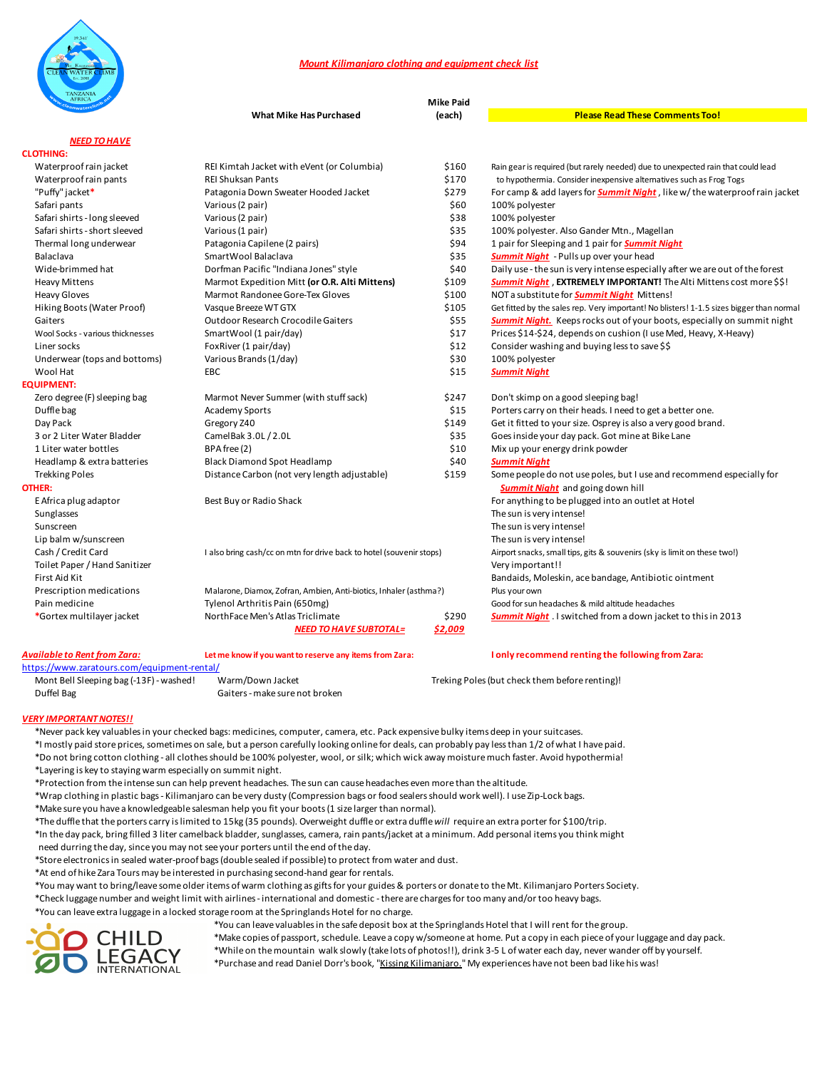

## *Mount Kilimanjaro clothing and equipment check list*

| <b>TAINZAINIA</b><br><b>AFRICA</b> | <b>Mike Paid</b>                                                     |         |                                                                                          |
|------------------------------------|----------------------------------------------------------------------|---------|------------------------------------------------------------------------------------------|
|                                    | <b>What Mike Has Purchased</b>                                       | (each)  | <b>Please Read These Comments Too!</b>                                                   |
| <b>NEED TO HAVE</b>                |                                                                      |         |                                                                                          |
| <b>CLOTHING:</b>                   |                                                                      |         |                                                                                          |
| Waterproof rain jacket             | REI Kimtah Jacket with eVent (or Columbia)                           | \$160   | Rain gear is required (but rarely needed) due to unexpected rain that could lead         |
| Waterproof rain pants              | <b>REI Shuksan Pants</b>                                             | \$170   | to hypothermia. Consider inexpensive alternatives such as Frog Togs                      |
| "Puffy" jacket*                    | Patagonia Down Sweater Hooded Jacket                                 | \$279   | For camp & add layers for <b>Summit Night</b> , like w/the waterproof rain jacket        |
| Safari pants                       | Various (2 pair)                                                     | \$60    | 100% polyester                                                                           |
| Safari shirts - long sleeved       | Various (2 pair)                                                     | \$38    | 100% polyester                                                                           |
| Safari shirts - short sleeved      | Various (1 pair)                                                     | \$35    | 100% polyester. Also Gander Mtn., Magellan                                               |
| Thermal long underwear             | Patagonia Capilene (2 pairs)                                         | \$94    | 1 pair for Sleeping and 1 pair for <b>Summit Night</b>                                   |
| Balaclava                          | SmartWool Balaclava                                                  | \$35    | <b>Summit Night</b> - Pulls up over your head                                            |
| Wide-brimmed hat                   | Dorfman Pacific "Indiana Jones" style                                | \$40    | Daily use - the sun is very intense especially after we are out of the forest            |
| <b>Heavy Mittens</b>               | Marmot Expedition Mitt (or O.R. Alti Mittens)                        | \$109   | <b>Summit Night, EXTREMELY IMPORTANT!</b> The Alti Mittens cost more \$\$!               |
| <b>Heavy Gloves</b>                | Marmot Randonee Gore-Tex Gloves                                      | \$100   | NOT a substitute for <b>Summit Night</b> Mittens!                                        |
| Hiking Boots (Water Proof)         | Vasque Breeze WT GTX                                                 | \$105   | Get fitted by the sales rep. Very important! No blisters! 1-1.5 sizes bigger than normal |
| Gaiters                            | <b>Outdoor Research Crocodile Gaiters</b>                            | \$55    | <b>Summit Night.</b> Keeps rocks out of your boots, especially on summit night           |
| Wool Socks - various thicknesses   | SmartWool (1 pair/day)                                               | \$17    | Prices \$14-\$24, depends on cushion (I use Med, Heavy, X-Heavy)                         |
| Liner socks                        | FoxRiver (1 pair/day)                                                | \$12    | Consider washing and buying less to save \$\$                                            |
| Underwear (tops and bottoms)       | Various Brands (1/day)                                               | \$30    | 100% polyester                                                                           |
| Wool Hat                           | EBC                                                                  | \$15    | <b>Summit Night</b>                                                                      |
| <b>EQUIPMENT:</b>                  |                                                                      |         |                                                                                          |
| Zero degree (F) sleeping bag       | Marmot Never Summer (with stuff sack)                                | \$247   | Don't skimp on a good sleeping bag!                                                      |
| Duffle bag                         | <b>Academy Sports</b>                                                | \$15    | Porters carry on their heads. I need to get a better one.                                |
| Day Pack                           | Gregory Z40                                                          | \$149   | Get it fitted to your size. Osprey is also a very good brand.                            |
| 3 or 2 Liter Water Bladder         | CamelBak 3.0L / 2.0L                                                 | \$35    | Goes inside your day pack. Got mine at Bike Lane                                         |
| 1 Liter water bottles              | BPA free (2)                                                         | \$10    | Mix up your energy drink powder                                                          |
| Headlamp & extra batteries         | <b>Black Diamond Spot Headlamp</b>                                   | \$40    | <b>Summit Night</b>                                                                      |
| <b>Trekking Poles</b>              | Distance Carbon (not very length adjustable)                         | \$159   | Some people do not use poles, but I use and recommend especially for                     |
| OTHER:                             |                                                                      |         | <b>Summit Night</b> and going down hill                                                  |
| E Africa plug adaptor              | Best Buy or Radio Shack                                              |         | For anything to be plugged into an outlet at Hotel                                       |
| Sunglasses                         |                                                                      |         | The sun is very intense!                                                                 |
| Sunscreen                          |                                                                      |         | The sun is very intense!                                                                 |
| Lip balm w/sunscreen               |                                                                      |         | The sun is very intense!                                                                 |
| Cash / Credit Card                 | I also bring cash/cc on mtn for drive back to hotel (souvenir stops) |         | Airport snacks, small tips, gits & souvenirs (sky is limit on these two!)                |
| Toilet Paper / Hand Sanitizer      |                                                                      |         | Very important!!                                                                         |
| First Aid Kit                      |                                                                      |         | Bandaids, Moleskin, ace bandage, Antibiotic ointment                                     |
| Prescription medications           | Malarone, Diamox, Zofran, Ambien, Anti-biotics, Inhaler (asthma?)    |         | Plus your own                                                                            |
| Pain medicine                      | Tylenol Arthritis Pain (650mg)                                       |         | Good for sun headaches & mild altitude headaches                                         |
| *Gortex multilayer jacket          | NorthFace Men's Atlas Triclimate                                     | \$290   | <b>Summit Night</b> . I switched from a down jacket to this in 2013                      |
|                                    | <b>NEED TO HAVE SUBTOTAL=</b>                                        | \$2,009 |                                                                                          |
| Available to Rent from Zara:       | Let me know if you want to reserve any items from Zara:              |         | I only recommend renting the following from Zara:                                        |

https://www.zaratours.com/equipment-rental/

Mont Bell Sleeping bag (-13F) - washed! Warm/Down Jacket Treking Poles (but check them before renting)!<br>Duffel Bag Gaiters - make sure not broken Gaiters - make sure not broken

*VERY IMPORTANT NOTES!!*

 \*Never pack key valuables in your checked bags: medicines, computer, camera, etc. Pack expensive bulky items deep in your suitcases. \*I mostly paid store prices, sometimes on sale, but a person carefully looking online for deals, can probably pay less than 1/2 of what I have paid. \*Do not bring cotton clothing - all clothes should be 100% polyester, wool, or silk; which wick away moisture much faster. Avoid hypothermia!

\*Layering is key to staying warm especially on summit night.

\*Protection from the intense sun can help prevent headaches. The sun can cause headaches even more than the altitude.

- \*Wrap clothing in plastic bags Kilimanjaro can be very dusty (Compression bags or food sealers should work well). I use Zip-Lock bags.
- \*Make sure you have a knowledgeable salesman help you fit your boots (1 size larger than normal).

\*The duffle that the porters carry is limited to 15kg (35 pounds). Overweight duffle or extra duffle *will* require an extra porter for \$100/trip.

\*In the day pack, bring filled 3 liter camelback bladder, sunglasses, camera, rain pants/jacket at a minimum. Add personal items you think might

need durring the day, since you may not see your porters until the end of the day.

\*Store electronics in sealed water-proof bags (double sealed if possible) to protect from water and dust.

\*At end of hike Zara Tours may be interested in purchasing second-hand gear for rentals.

\*You may want to bring/leave some older items of warm clothing as gifts for your guides & porters or donate to the Mt. Kilimanjaro Porters Society.

\*Check luggage number and weight limit with airlines - international and domestic - there are charges for too many and/or too heavy bags.

\*You can leave extra luggage in a locked storage room at the Springlands Hotel for no charge.



 \*You can leave valuables in the safe deposit box at the Springlands Hotel that I will rent for the group. \*Make copies of passport, schedule. Leave a copy w/someone at home. Put a copy in each piece of your luggage and day pack.

 \*While on the mountain walk slowly (take lots of photos!!), drink 3-5 L of water each day, never wander off by yourself. \*Purchase and read Daniel Dorr's book, "Kissing Kilimanjaro." My experiences have not been bad like his was!